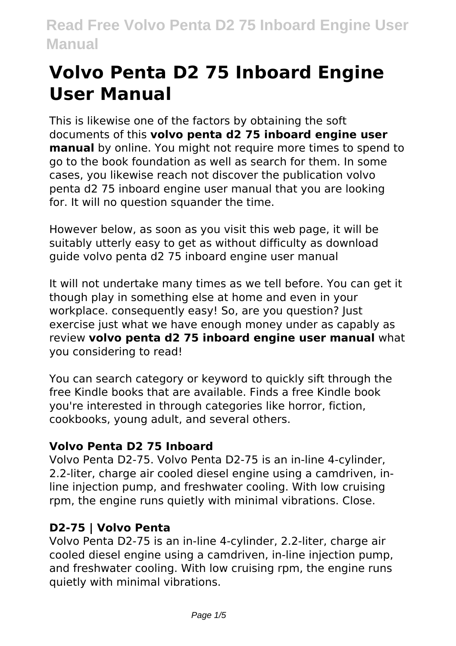# **Volvo Penta D2 75 Inboard Engine User Manual**

This is likewise one of the factors by obtaining the soft documents of this **volvo penta d2 75 inboard engine user manual** by online. You might not require more times to spend to go to the book foundation as well as search for them. In some cases, you likewise reach not discover the publication volvo penta d2 75 inboard engine user manual that you are looking for. It will no question squander the time.

However below, as soon as you visit this web page, it will be suitably utterly easy to get as without difficulty as download guide volvo penta d2 75 inboard engine user manual

It will not undertake many times as we tell before. You can get it though play in something else at home and even in your workplace. consequently easy! So, are you question? Just exercise just what we have enough money under as capably as review **volvo penta d2 75 inboard engine user manual** what you considering to read!

You can search category or keyword to quickly sift through the free Kindle books that are available. Finds a free Kindle book you're interested in through categories like horror, fiction, cookbooks, young adult, and several others.

# **Volvo Penta D2 75 Inboard**

Volvo Penta D2-75. Volvo Penta D2-75 is an in-line 4-cylinder, 2.2-liter, charge air cooled diesel engine using a camdriven, inline injection pump, and freshwater cooling. With low cruising rpm, the engine runs quietly with minimal vibrations. Close.

# **D2-75 | Volvo Penta**

Volvo Penta D2-75 is an in-line 4-cylinder, 2.2-liter, charge air cooled diesel engine using a camdriven, in-line injection pump, and freshwater cooling. With low cruising rpm, the engine runs quietly with minimal vibrations.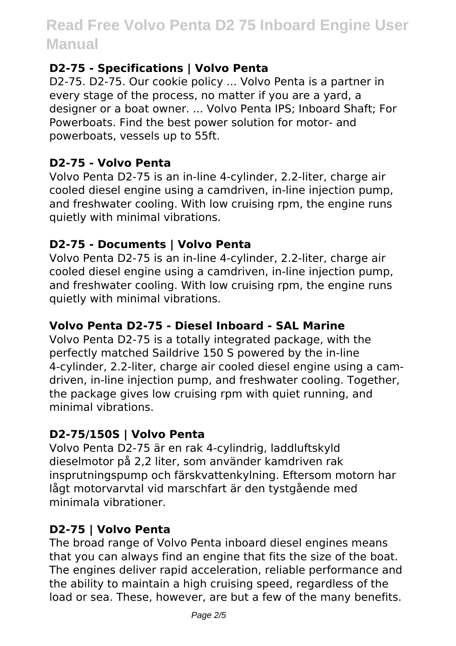#### **D2-75 - Specifications | Volvo Penta**

D2-75. D2-75. Our cookie policy ... Volvo Penta is a partner in every stage of the process, no matter if you are a yard, a designer or a boat owner. ... Volvo Penta IPS; Inboard Shaft; For Powerboats. Find the best power solution for motor- and powerboats, vessels up to 55ft.

#### **D2-75 - Volvo Penta**

Volvo Penta D2-75 is an in-line 4-cylinder, 2.2-liter, charge air cooled diesel engine using a camdriven, in-line injection pump, and freshwater cooling. With low cruising rpm, the engine runs quietly with minimal vibrations.

#### **D2-75 - Documents | Volvo Penta**

Volvo Penta D2-75 is an in-line 4-cylinder, 2.2-liter, charge air cooled diesel engine using a camdriven, in-line injection pump, and freshwater cooling. With low cruising rpm, the engine runs quietly with minimal vibrations.

#### **Volvo Penta D2-75 - Diesel Inboard - SAL Marine**

Volvo Penta D2-75 is a totally integrated package, with the perfectly matched Saildrive 150 S powered by the in-line 4-cylinder, 2.2-liter, charge air cooled diesel engine using a camdriven, in-line injection pump, and freshwater cooling. Together, the package gives low cruising rpm with quiet running, and minimal vibrations.

#### **D2-75/150S | Volvo Penta**

Volvo Penta D2-75 är en rak 4-cylindrig, laddluftskyld dieselmotor på 2,2 liter, som använder kamdriven rak insprutningspump och färskvattenkylning. Eftersom motorn har lågt motorvarvtal vid marschfart är den tystgående med minimala vibrationer.

## **D2-75 | Volvo Penta**

The broad range of Volvo Penta inboard diesel engines means that you can always find an engine that fits the size of the boat. The engines deliver rapid acceleration, reliable performance and the ability to maintain a high cruising speed, regardless of the load or sea. These, however, are but a few of the many benefits.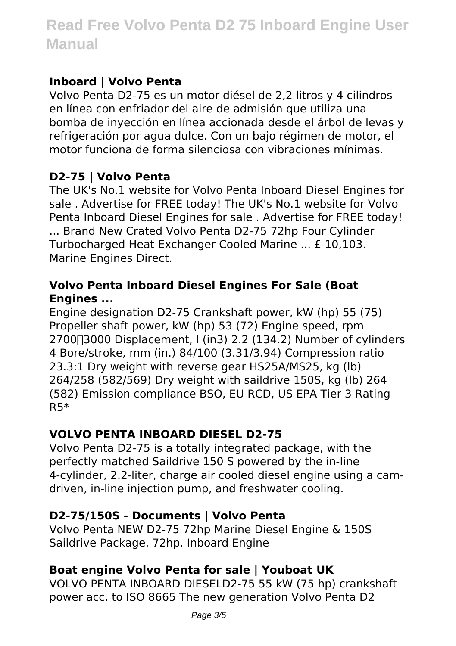## **Inboard | Volvo Penta**

Volvo Penta D2-75 es un motor diésel de 2,2 litros y 4 cilindros en línea con enfriador del aire de admisión que utiliza una bomba de inyección en línea accionada desde el árbol de levas y refrigeración por agua dulce. Con un bajo régimen de motor, el motor funciona de forma silenciosa con vibraciones mínimas.

# **D2-75 | Volvo Penta**

The UK's No.1 website for Volvo Penta Inboard Diesel Engines for sale . Advertise for FREE today! The UK's No.1 website for Volvo Penta Inboard Diesel Engines for sale . Advertise for FREE today! ... Brand New Crated Volvo Penta D2-75 72hp Four Cylinder Turbocharged Heat Exchanger Cooled Marine ... £ 10,103. Marine Engines Direct.

#### **Volvo Penta Inboard Diesel Engines For Sale (Boat Engines ...**

Engine designation D2-75 Crankshaft power, kW (hp) 55 (75) Propeller shaft power, kW (hp) 53 (72) Engine speed, rpm 2700 $\Box$ 3000 Displacement, I (in3) 2.2 (134.2) Number of cylinders 4 Bore/stroke, mm (in.) 84/100 (3.31/3.94) Compression ratio 23.3:1 Dry weight with reverse gear HS25A/MS25, kg (lb) 264/258 (582/569) Dry weight with saildrive 150S, kg (lb) 264 (582) Emission compliance BSO, EU RCD, US EPA Tier 3 Rating R5\*

## **VOLVO PENTA INBOARD DIESEL D2-75**

Volvo Penta D2-75 is a totally integrated package, with the perfectly matched Saildrive 150 S powered by the in-line 4-cylinder, 2.2-liter, charge air cooled diesel engine using a camdriven, in-line injection pump, and freshwater cooling.

## **D2-75/150S - Documents | Volvo Penta**

Volvo Penta NEW D2-75 72hp Marine Diesel Engine & 150S Saildrive Package. 72hp. Inboard Engine

# **Boat engine Volvo Penta for sale | Youboat UK**

VOLVO PENTA INBOARD DIESELD2-75 55 kW (75 hp) crankshaft power acc. to ISO 8665 The new generation Volvo Penta D2